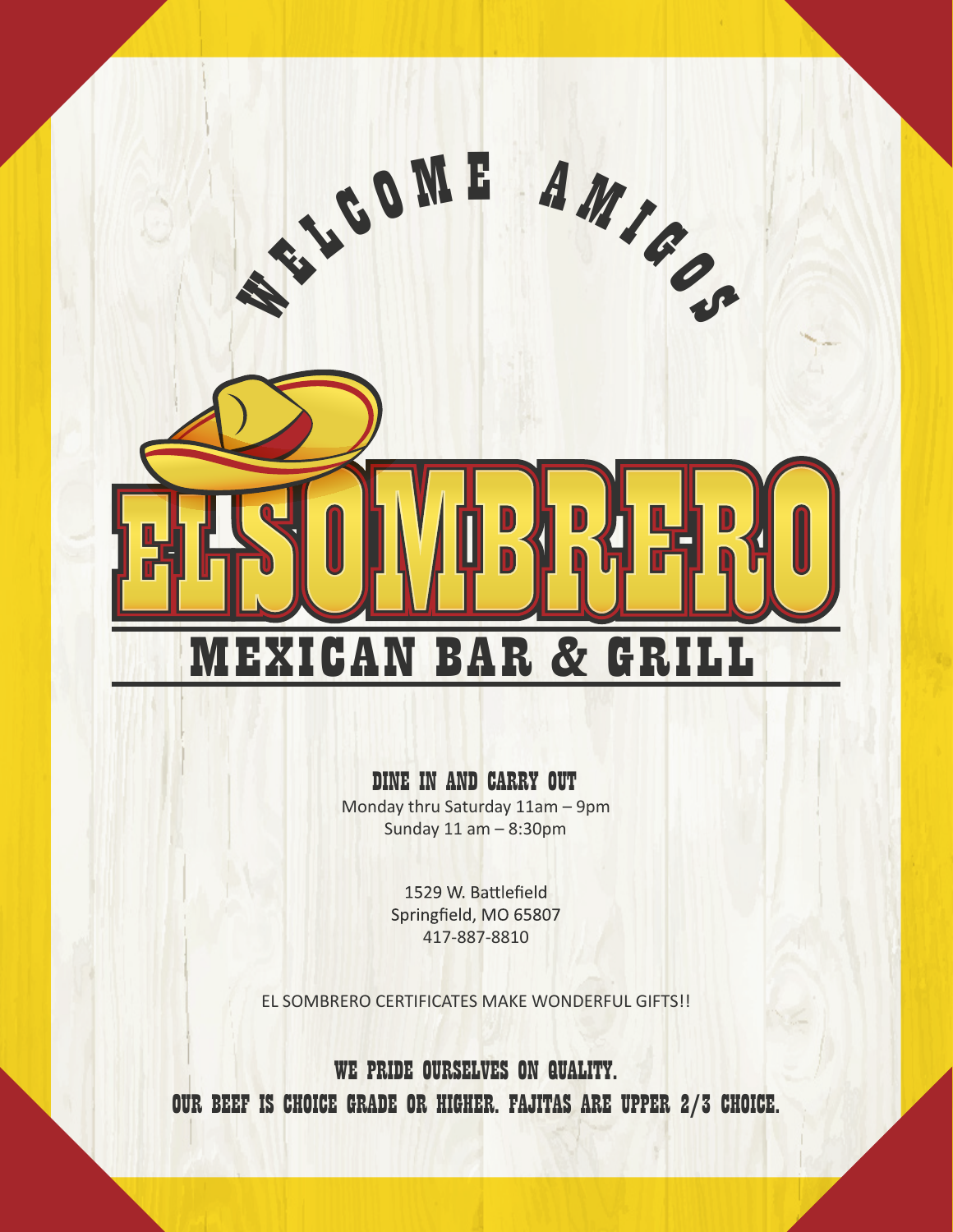

### DINE IN AND CARRY OUT

Monday thru Saturday 11am – 9pm Sunday 11 am – 8:30pm

> 1529 W. Battlefield Springfield, MO 65807 417-887-8810

EL SOMBRERO CERTIFICATES MAKE WONDERFUL GIFTS!!

WE PRIDE OURSELVES ON QUALITY. OUR BEEF IS CHOICE GRADE OR HIGHER. FAJITAS ARE UPPER 2/3 CHOICE.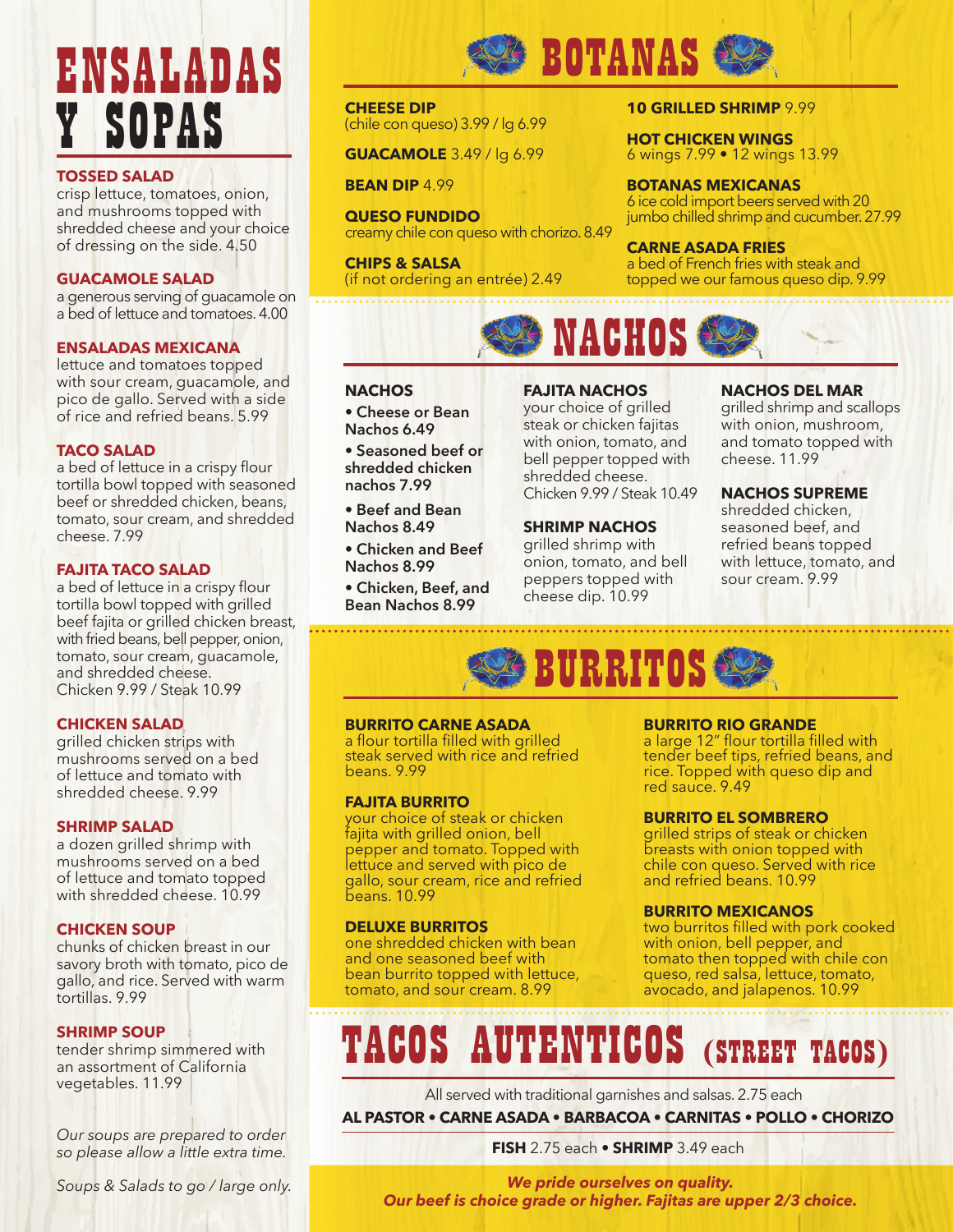# ENSALADAS Y SOPAS

### **TOSSED SALAD**

crisp lettuce, tomatoes, onion, and mushrooms topped with shredded cheese and your choice of dressing on the side. 4.50

### **GUACAMOLE SALAD**

a generous serving of guacamole on a bed of lettuce and tomatoes. 4.00

### **ENSALADAS MEXICANA**

lettuce and tomatoes topped with sour cream, guacamole, and pico de gallo. Served with a side of rice and refried beans. 5.99

### **TACO SALAD**

a bed of lettuce in a crispy flour tortilla bowl topped with seasoned beef or shredded chicken, beans, tomato, sour cream, and shredded cheese. 7.99

### **FAJITA TACO SALAD**

a bed of lettuce in a crispy flour tortilla bowl topped with grilled beef fajita or grilled chicken breast, with fried beans, bell pepper, onion, tomato, sour cream, guacamole, and shredded cheese. Chicken 9.99 / Steak 10.99

### **CHICKEN SALAD**

grilled chicken strips with mushrooms served on a bed of lettuce and tomato with shredded cheese. 9.99

### **SHRIMP SALAD**

a dozen grilled shrimp with mushrooms served on a bed of lettuce and tomato topped with shredded cheese. 10.99

### **CHICKEN SOUP**

chunks of chicken breast in our savory broth with tomato, pico de gallo, and rice. Served with warm tortillas. 9.99

### **SHRIMP SOUP**

tender shrimp simmered with an assortment of California vegetables. 11.99

*Our soups are prepared to order so please allow a little extra time.*

*Soups & Salads to go / large only.*



### **CHEESE DIP**  (chile con queso) 3.99 / lg 6.99

**GUACAMOLE** 3.49 / lg 6.99

**BEAN DIP** 4.99

**QUESO FUNDIDO** creamy chile con queso with chorizo. 8.49

**CHIPS & SALSA** (if not ordering an entrée) 2.49

### **10 GRILLED SHRIMP** 9.99

**HOT CHICKEN WINGS** 6 wings 7.99 • 12 wings 13.99

**BOTANAS MEXICANAS** 6 ice cold import beers served with 20 jumbo chilled shrimp and cucumber. 27.99

### **CARNE ASADA FRIES**

a bed of French fries with steak and topped we our famous queso dip. 9.99



### **NACHOS**

**• Cheese or Bean Nachos 6.49**

**• Seasoned beef or shredded chicken nachos 7.99** 

**• Beef and Bean Nachos 8.49**

**• Chicken and Beef Nachos 8.99**

**• Chicken, Beef, and Bean Nachos 8.99**

### **FAJITA NACHOS**

your choice of grilled steak or chicken fajitas with onion, tomato, and bell pepper topped with shredded cheese. Chicken 9.99 / Steak 10.49

### **SHRIMP NACHOS**

grilled shrimp with onion, tomato, and bell peppers topped with cheese dip. 10.99

### **NACHOS DEL MAR**

grilled shrimp and scallops with onion, mushroom, and tomato topped with cheese. 11.99

### **NACHOS SUPREME**

shredded chicken, seasoned beef, and refried beans topped with lettuce, tomato, and sour cream. 9.99



### **BURRITO CARNE ASADA**

a flour tortilla filled with grilled steak served with rice and refried beans. 9.99

### **FAJITA BURRITO**

your choice of steak or chicken fajita with grilled onion, bell pepper and tomato. Topped with lettuce and served with pico de gallo, sour cream, rice and refried beans. 10.99

### **DELUXE BURRITOS**

one shredded chicken with bean and one seasoned beef with bean burrito topped with lettuce, tomato, and sour cream. 8.99

### **BURRITO RIO GRANDE**

a large 12" flour tortilla filled with tender beef tips, refried beans, and rice. Topped with queso dip and red sauce. 9.49

### **BURRITO EL SOMBRERO**

grilled strips of steak or chicken breasts with onion topped with chile con queso. Served with rice and refried beans. 10.99

### **BURRITO MEXICANOS**

two burritos filled with pork cooked with onion, bell pepper, and tomato then topped with chile con queso, red salsa, lettuce, tomato, avocado, and jalapenos. 10.99

### TACOS AUTENTICOS (STREET TACOS)

**AL PASTOR • CARNE ASADA • BARBACOA • CARNITAS • POLLO • CHORIZO** All served with traditional garnishes and salsas. 2.75 each

**FISH** 2.75 each **• SHRIMP** 3.49 each

*We pride ourselves on quality. Our beef is choice grade or higher. Fajitas are upper 2/3 choice.*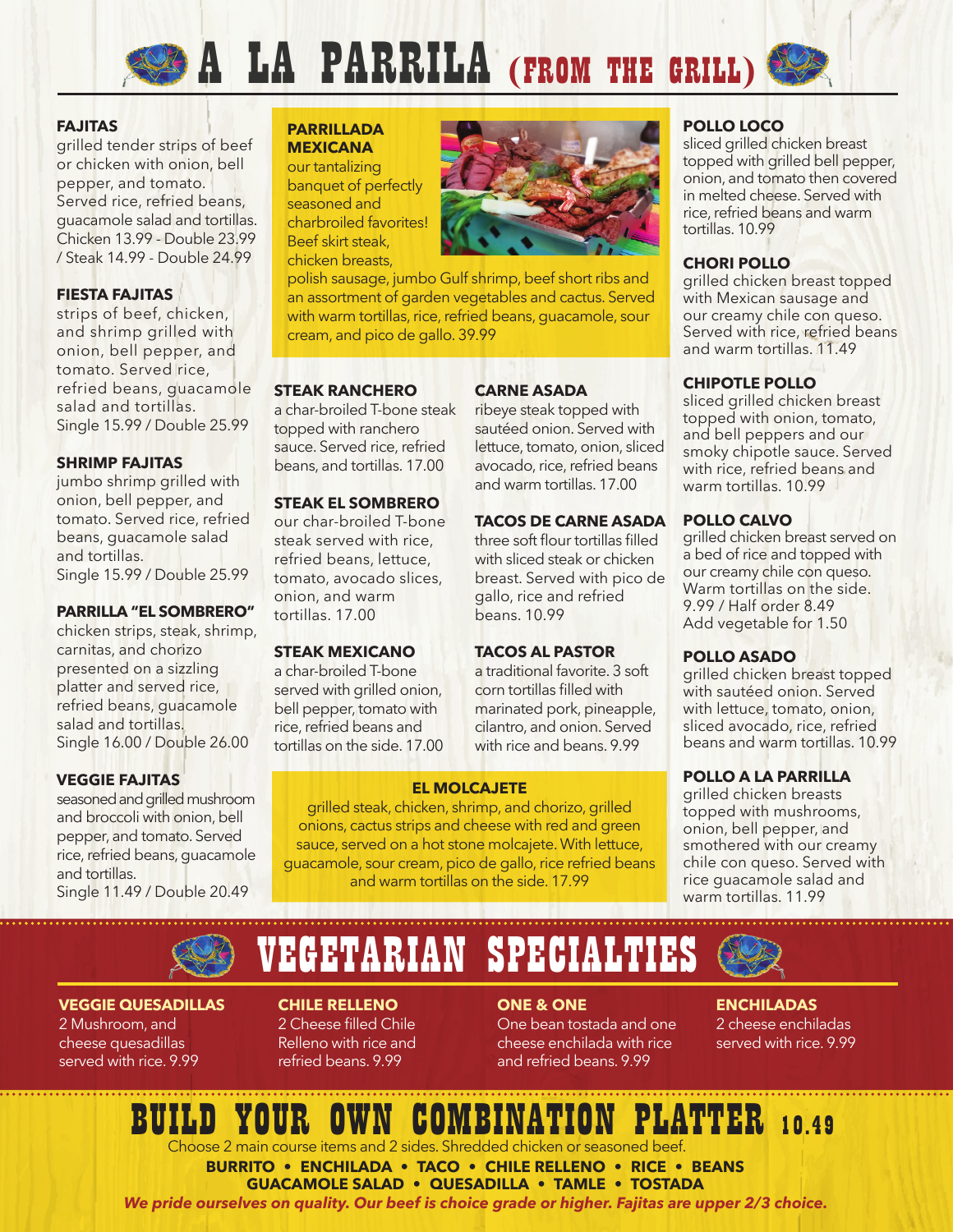# A LA PARRILA (FROM THE GRILL)

### **FAJITAS**

grilled tender strips of beef or chicken with onion, bell pepper, and tomato. Served rice, refried beans, guacamole salad and tortillas. Chicken 13.99 - Double 23.99 / Steak 14.99 - Double 24.99

### **FIESTA FAJITAS**

strips of beef, chicken, and shrimp grilled with onion, bell pepper, and tomato. Served rice, refried beans, guacamole salad and tortillas. Single 15.99 / Double 25.99

### **SHRIMP FAJITAS**

jumbo shrimp grilled with onion, bell pepper, and tomato. Served rice, refried beans, guacamole salad and tortillas. Single 15.99 / Double 25.99

### **PARRILLA "EL SOMBRERO"**

chicken strips, steak, shrimp, carnitas, and chorizo presented on a sizzling platter and served rice, refried beans, guacamole salad and tortillas. Single 16.00 / Double 26.00

### **VEGGIE FAJITAS**

seasoned and grilled mushroom and broccoli with onion, bell pepper, and tomato. Served rice, refried beans, guacamole and tortillas. Single 11.49 / Double 20.49

### **PARRILLADA MEXICANA**

our tantalizing banquet of perfectly seasoned and charbroiled favorites! Beef skirt steak, chicken breasts,

polish sausage, jumbo Gulf shrimp, beef short ribs and an assortment of garden vegetables and cactus. Served with warm tortillas, rice, refried beans, guacamole, sour cream, and pico de gallo. 39.99

### **STEAK RANCHERO**

a char-broiled T-bone steak topped with ranchero sauce. Served rice, refried beans, and tortillas. 17.00

### **STEAK EL SOMBRERO**

our char-broiled T-bone steak served with rice, refried beans, lettuce, tomato, avocado slices, onion, and warm tortillas. 17.00

### **STEAK MEXICANO**

a char-broiled T-bone served with grilled onion, bell pepper, tomato with rice, refried beans and tortillas on the side. 17.00



### **CARNE ASADA**

ribeye steak topped with sautéed onion. Served with lettuce, tomato, onion, sliced avocado, rice, refried beans and warm tortillas. 17.00

### **TACOS DE CARNE ASADA**

three soft flour tortillas filled with sliced steak or chicken breast. Served with pico de gallo, rice and refried beans. 10.99

### **TACOS AL PASTOR**

a traditional favorite. 3 soft corn tortillas filled with marinated pork, pineapple, cilantro, and onion. Served with rice and beans. 9.99

topped with onion, tomato, and bell peppers and our smoky chipotle sauce. Served with rice, refried beans and warm tortillas. 10.99

### **POLLO CALVO**

**POLLO LOCO**

tortillas. 10.99

**CHORI POLLO**

**CHIPOTLE POLLO**

sliced grilled chicken breast topped with grilled bell pepper, onion, and tomato then covered in melted cheese. Served with rice, refried beans and warm

grilled chicken breast topped with Mexican sausage and our creamy chile con queso. Served with rice, refried beans and warm tortillas. 11.49

sliced grilled chicken breast

grilled chicken breast served on a bed of rice and topped with our creamy chile con queso. Warm tortillas on the side. 9.99 / Half order 8.49 Add vegetable for 1.50

### **POLLO ASADO**

grilled chicken breast topped with sautéed onion. Served with lettuce, tomato, onion, sliced avocado, rice, refried beans and warm tortillas. 10.99

### **POLLO A LA PARRILLA**

grilled chicken breasts topped with mushrooms, onion, bell pepper, and smothered with our creamy chile con queso. Served with rice guacamole salad and warm tortillas. 11.99

## VEGETARIAN SPECIALTIES

**EL MOLCAJETE** grilled steak, chicken, shrimp, and chorizo, grilled onions, cactus strips and cheese with red and green sauce, served on a hot stone molcajete. With lettuce, guacamole, sour cream, pico de gallo, rice refried beans and warm tortillas on the side. 17.99

### **VEGGIE QUESADILLAS**

2 Mushroom, and cheese quesadillas served with rice. 9.99

### **CHILE RELLENO**  2 Cheese filled Chile

Relleno with rice and refried beans. 9.99

### **ONE & ONE**

One bean tostada and one cheese enchilada with rice and refried beans. 9.99

### **ENCHILADAS**

2 cheese enchiladas served with rice. 9.99

### LATTER 10.49

Choose 2 main course items and 2 sides. Shredded chicken or seasoned beef.

**BURRITO • ENCHILADA • TACO • CHILE RELLENO • RICE • BEANS GUACAMOLE SALAD • QUESADILLA • TAMLE • TOSTADA**

*We pride ourselves on quality. Our beef is choice grade or higher. Fajitas are upper 2/3 choice.*

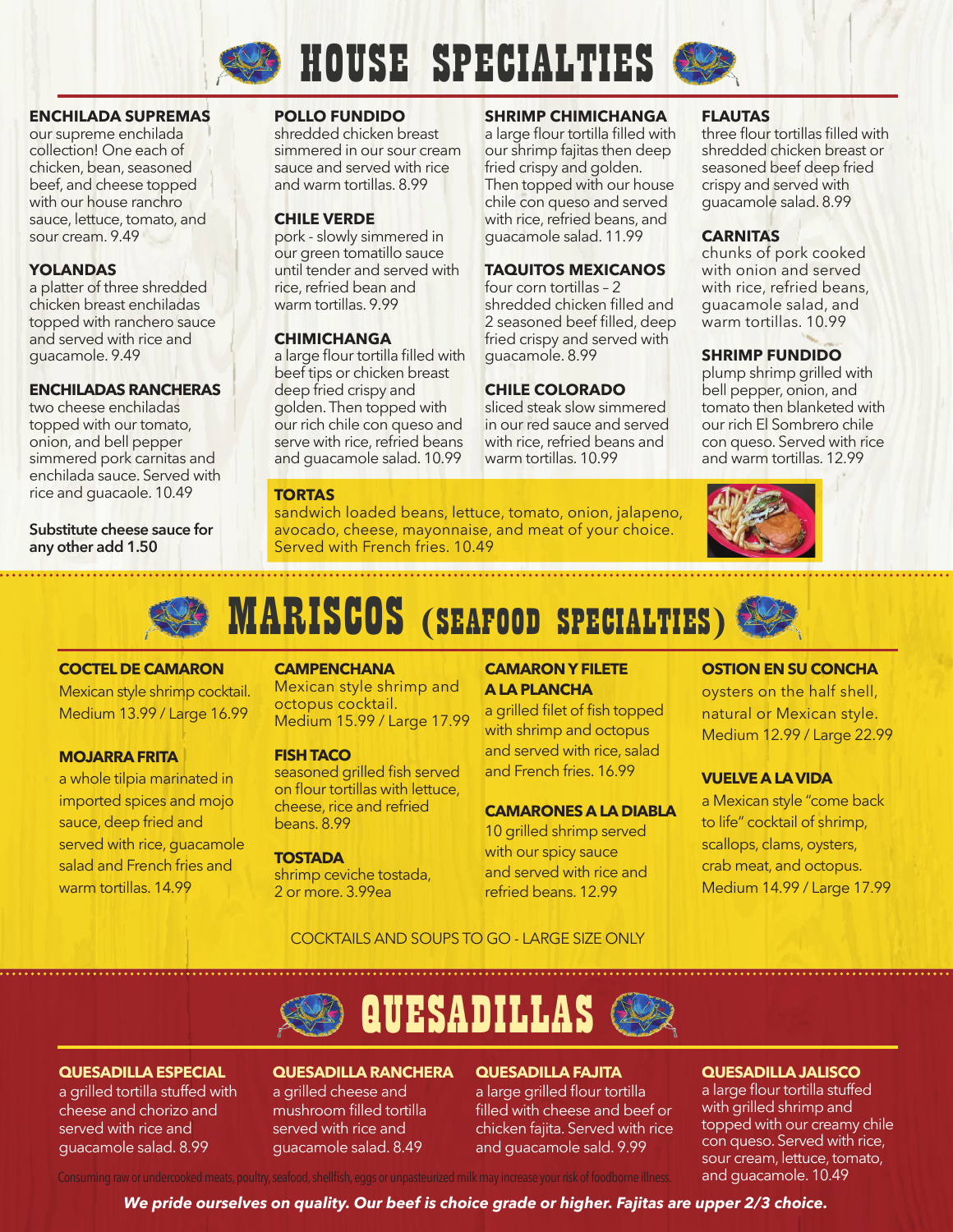

### **HOUSE SPECIALTIES**

**SHRIMP CHIMICHANGA**  a large flour tortilla filled with our shrimp fajitas then deep fried crispy and golden. Then topped with our house chile con queso and served with rice, refried beans, and guacamole salad. 11.99

**TAQUITOS MEXICANOS**  four corn tortillas – 2

shredded chicken filled and 2 seasoned beef filled, deep fried crispy and served with

guacamole. 8.99

**CHILE COLORADO** sliced steak slow simmered in our red sauce and served with rice, refried beans and warm tortillas. 10.99



### **ENCHILADA SUPREMAS**

our supreme enchilada collection! One each of chicken, bean, seasoned beef, and cheese topped with our house ranchro sauce, lettuce, tomato, and sour cream. 9.49

### **YOLANDAS**

a platter of three shredded chicken breast enchiladas topped with ranchero sauce and served with rice and guacamole. 9.49

### **ENCHILADAS RANCHERAS**

two cheese enchiladas topped with our tomato, onion, and bell pepper simmered pork carnitas and enchilada sauce. Served with rice and guacaole. 10.49

**Substitute cheese sauce for any other add 1.50**

### **POLLO FUNDIDO**

shredded chicken breast simmered in our sour cream sauce and served with rice and warm tortillas. 8.99

### **CHILE VERDE**

pork - slowly simmered in our green tomatillo sauce until tender and served with rice, refried bean and warm tortillas. 9.99

### **CHIMICHANGA**

a large flour tortilla filled with beef tips or chicken breast deep fried crispy and golden. Then topped with our rich chile con queso and serve with rice, refried beans and guacamole salad. 10.99

### **TORTAS**

sandwich loaded beans, lettuce, tomato, onion, jalapeno, avocado, cheese, mayonnaise, and meat of your choice. Served with French fries. 10.49

### **FLAUTAS**

three flour tortillas filled with shredded chicken breast or seasoned beef deep fried crispy and served with guacamole salad. 8.99

### **CARNITAS**

chunks of pork cooked with onion and served with rice, refried beans, guacamole salad, and warm tortillas. 10.99

### **SHRIMP FUNDIDO**

plump shrimp grilled with bell pepper, onion, and tomato then blanketed with our rich El Sombrero chile con queso. Served with rice and warm tortillas. 12.99





### **COCTEL DE CAMARON**

Mexican style shrimp cocktail. Medium 13.99 / Large 16.99

### **MOJARRA FRITA**

a whole tilpia marinated in imported spices and mojo sauce, deep fried and served with rice, guacamole salad and French fries and warm tortillas. 14.99

### **CAMPENCHANA**

Mexican style shrimp and octopus cocktail. Medium 15.99 / Large 17.99

#### **FISH TACO**

seasoned grilled fish served on flour tortillas with lettuce, cheese, rice and refried beans. 8.99

#### **TOSTADA**

shrimp ceviche tostada, 2 or more. 3.99ea

### **CAMARON Y FILETE A LA PLANCHA**

a grilled filet of fish topped with shrimp and octopus and served with rice, salad and French fries. 16.99

### **CAMARONES A LA DIABLA**

10 grilled shrimp served with our spicy sauce and served with rice and refried beans. 12.99

### **OSTION EN SU CONCHA**

oysters on the half shell, natural or Mexican style. Medium 12.99 / Large 22.99

### **VUELVE A LA VIDA**

a Mexican style "come back to life" cocktail of shrimp, scallops, clams, oysters, crab meat, and octopus. Medium 14.99 / Large 17.99

### COCKTAILS AND SOUPS TO GO - LARGE SIZE ONLY



### **QUESADILLA ESPECIAL**

a grilled tortilla stuffed with cheese and chorizo and served with rice and guacamole salad. 8.99

### **QUESADILLA RANCHERA**

a grilled cheese and mushroom filled tortilla served with rice and guacamole salad. 8.49

### **QUESADILLA FAJITA**

a large grilled flour tortilla filled with cheese and beef or chicken fajita. Served with rice and guacamole sald. 9.99

### **QUESADILLA JALISCO**

a large flour tortilla stuffed with grilled shrimp and topped with our creamy chile con queso. Served with rice, sour cream, lettuce, tomato, and guacamole. 10.49

Consuming raw or undercooked meats, poultry, seafood, shellfish, eggs or unpasteurized milk may increase your risk of foodborne illness.

*We pride ourselves on quality. Our beef is choice grade or higher. Fajitas are upper 2/3 choice.*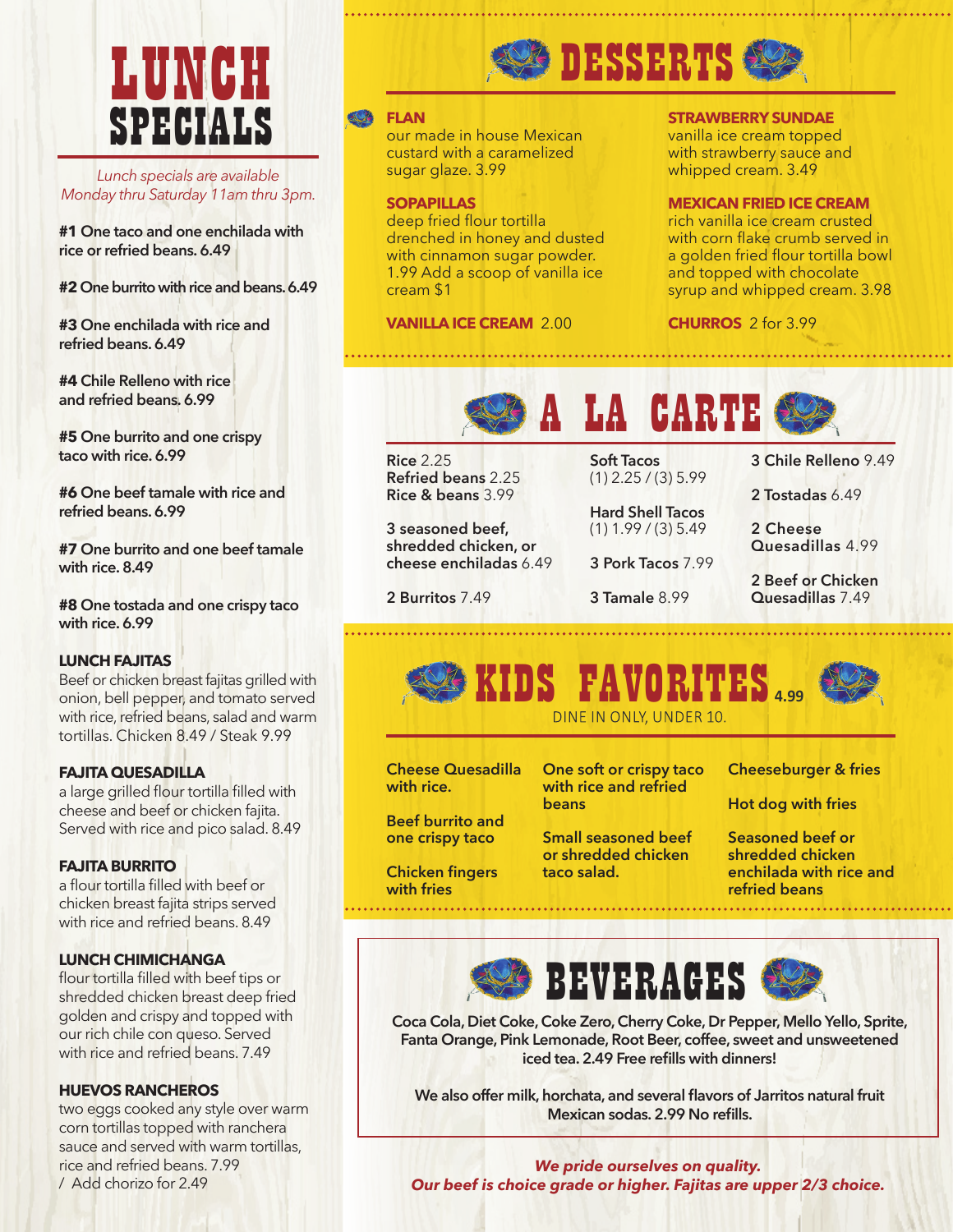## LUNCH SPECIALS

*Lunch specials are available Monday thru Saturday 11am thru 3pm.*

**#1 One taco and one enchilada with rice or refried beans. 6.49**

**#2 One burrito with rice and beans. 6.49**

**#3 One enchilada with rice and refried beans. 6.49**

**#4 Chile Relleno with rice and refried beans. 6.99**

**#5 One burrito and one crispy taco with rice. 6.99**

**#6 One beef tamale with rice and refried beans. 6.99**

**#7 One burrito and one beef tamale with rice. 8.49**

**#8 One tostada and one crispy taco with rice. 6.99** 

### **LUNCH FAJITAS**

Beef or chicken breast fajitas grilled with onion, bell pepper, and tomato served with rice, refried beans, salad and warm tortillas. Chicken 8.49 / Steak 9.99

### **FAJITA QUESADILLA**

a large grilled flour tortilla filled with cheese and beef or chicken fajita. Served with rice and pico salad. 8.49

### **FAJITA BURRITO**

a flour tortilla filled with beef or chicken breast fajita strips served with rice and refried beans. 8.49

### **LUNCH CHIMICHANGA**

flour tortilla filled with beef tips or shredded chicken breast deep fried golden and crispy and topped with our rich chile con queso. Served with rice and refried beans. 7.49

### **HUEVOS RANCHEROS**

two eggs cooked any style over warm corn tortillas topped with ranchera sauce and served with warm tortillas, rice and refried beans. 7.99 / Add chorizo for 2.49



### **FLAN**

our made in house Mexican custard with a caramelized sugar glaze. 3.99

### **SOPAPILLAS**

deep fried flour tortilla drenched in honey and dusted with cinnamon sugar powder. 1.99 Add a scoop of vanilla ice cream \$1

### **VANILLA ICE CREAM** 2.00

### **STRAWBERRY SUNDAE**

vanilla ice cream topped with strawberry sauce and whipped cream. 3.49

### **MEXICAN FRIED ICE CREAM**

rich vanilla ice cream crusted with corn flake crumb served in a golden fried flour tortilla bowl and topped with chocolate syrup and whipped cream. 3.98

**CHURROS** 2 for 3.99



**Rice** 2.25 **Refried beans** 2.25 **Rice & beans** 3.99

**3 seasoned beef, shredded chicken, or cheese enchiladas** 6.49

**2 Burritos** 7.49

**Soft Tacos**  (1) 2.25 / (3) 5.99

**Hard Shell Tacos**  (1) 1.99 / (3) 5.49

**3 Pork Tacos** 7.99

**3 Tamale** 8.99

**3 Chile Relleno** 9.49

**2 Tostadas** 6.49

**2 Cheese Quesadillas** 4.99

**2 Beef or Chicken Quesadillas** 7.49



**Cheese Quesadilla with rice.**

**Beef burrito and one crispy taco**

**Chicken fingers with fries**

**One soft or crispy taco with rice and refried beans**

**Small seasoned beef or shredded chicken** 

**taco salad.**

**Cheeseburger & fries**

**Hot dog with fries**

**Seasoned beef or shredded chicken enchilada with rice and refried beans**



**Coca Cola, Diet Coke, Coke Zero, Cherry Coke, Dr Pepper, Mello Yello, Sprite, Fanta Orange, Pink Lemonade, Root Beer, coffee, sweet and unsweetened iced tea. 2.49 Free refills with dinners!**

**We also offer milk, horchata, and several flavors of Jarritos natural fruit Mexican sodas. 2.99 No refills.**

*We pride ourselves on quality. Our beef is choice grade or higher. Fajitas are upper 2/3 choice.*